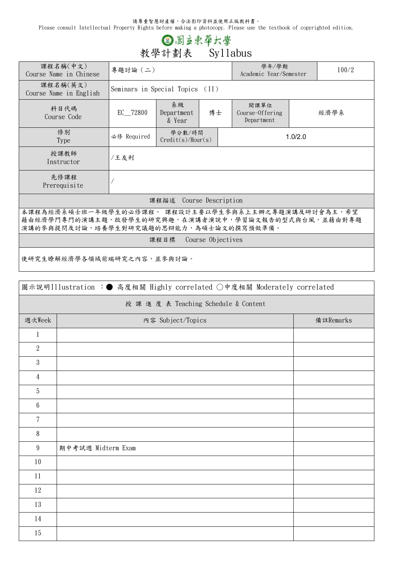請尊重智慧財產權,合法影印資料並使用正版教科書。

Please consult Intellectual Property Rights before making a photocopy. Please use the textbook of copyrighted edition.

## **③图立束草大學**<br>教學計劃表 Syllabus

| 課程名稱(中文)<br>Course Name in Chinese                                                                                                                    | 專題討論 (二)                        |                                  |  |                                       | 學年/學期<br>Academic Year/Semester |      |  |  |
|-------------------------------------------------------------------------------------------------------------------------------------------------------|---------------------------------|----------------------------------|--|---------------------------------------|---------------------------------|------|--|--|
| 課程名稱(英文)<br>Course Name in English                                                                                                                    | Seminars in Special Topics (II) |                                  |  |                                       |                                 |      |  |  |
| 科目代碼<br>Course Code                                                                                                                                   | EC_72800                        | 系級<br>博士<br>Department<br>& Year |  | 開課單位<br>Course-Offering<br>Department |                                 | 經濟學系 |  |  |
| 修別<br>Type                                                                                                                                            | 必修 Required                     | 學分數/時間<br>Credit(s)/Hour(s)      |  |                                       | 1.0/2.0                         |      |  |  |
| 授課教師<br>Instructor                                                                                                                                    | /王友利                            |                                  |  |                                       |                                 |      |  |  |
| 先修課程<br>Prerequisite                                                                                                                                  |                                 |                                  |  |                                       |                                 |      |  |  |
| 課程描述 Course Description                                                                                                                               |                                 |                                  |  |                                       |                                 |      |  |  |
| 本課程為經濟系碩士班一年級學生的必修課程。 課程設計主要以學生參與系上主辦之專題演講及研討會為主,希望<br>藉由經濟學門專門的演講主題,啟發學生的研究興趣,在演講者演說中,學習論文報告的型式與台風,並藉由對專題<br>演講的參與提問及討論,培養學生對研究議題的思辯能力,為碩士論文的撰寫預做準備。 |                                 |                                  |  |                                       |                                 |      |  |  |
| 課程目標 Course Objectives                                                                                                                                |                                 |                                  |  |                                       |                                 |      |  |  |
| 使研究生瞭解經濟學各領域前端研究之內容,並參與討論。                                                                                                                            |                                 |                                  |  |                                       |                                 |      |  |  |

| 圖示說明Illustration :● 高度相關 Highly correlated ○中度相關 Moderately correlated |                                |  |  |  |  |  |  |
|------------------------------------------------------------------------|--------------------------------|--|--|--|--|--|--|
| 授 課 進 度 表 Teaching Schedule & Content                                  |                                |  |  |  |  |  |  |
| 週次Week                                                                 | 内容 Subject/Topics<br>備註Remarks |  |  |  |  |  |  |
| $\mathbf{1}$                                                           |                                |  |  |  |  |  |  |
| $\overline{2}$                                                         |                                |  |  |  |  |  |  |
| $\sqrt{3}$                                                             |                                |  |  |  |  |  |  |
| $\overline{4}$                                                         |                                |  |  |  |  |  |  |
| $5\,$                                                                  |                                |  |  |  |  |  |  |
| $6\,$                                                                  |                                |  |  |  |  |  |  |
| $\overline{7}$                                                         |                                |  |  |  |  |  |  |
| $8\phantom{.}$                                                         |                                |  |  |  |  |  |  |
| $\boldsymbol{9}$                                                       | 期中考試週 Midterm Exam             |  |  |  |  |  |  |
| 10                                                                     |                                |  |  |  |  |  |  |
| 11                                                                     |                                |  |  |  |  |  |  |
| $12\,$                                                                 |                                |  |  |  |  |  |  |
| 13                                                                     |                                |  |  |  |  |  |  |
| 14                                                                     |                                |  |  |  |  |  |  |
| 15                                                                     |                                |  |  |  |  |  |  |